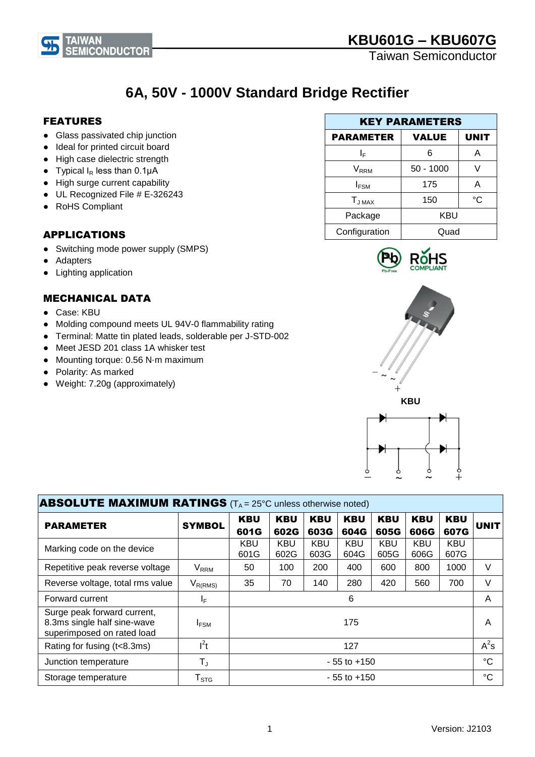

# **6A, 50V - 1000V Standard Bridge Rectifier**

#### FEATURES

**TAIWAN** 

- Glass passivated chip junction
- Ideal for printed circuit board
- High case dielectric strength
- Typical  $I_R$  less than 0.1 $\mu$ A
- High surge current capability
- UL Recognized File # E-326243
- RoHS Compliant

#### APPLICATIONS

- Switching mode power supply (SMPS)
- Adapters
- Lighting application

#### MECHANICAL DATA

- Case: KBU
- Molding compound meets UL 94V-0 flammability rating
- Terminal: Matte tin plated leads, solderable per J-STD-002
- Meet JESD 201 class 1A whisker test
- Mounting torque: 0.56 N⋅m maximum
- Polarity: As marked
- Weight: 7.20g (approximately)

| <b>KEY PARAMETERS</b> |              |             |  |
|-----------------------|--------------|-------------|--|
| <b>PARAMETER</b>      | <b>VALUE</b> | <b>UNIT</b> |  |
| I⊧                    | 6            | А           |  |
| V <sub>rrm</sub>      | $50 - 1000$  |             |  |
| $I_{FSM}$             | 175          | А           |  |
| $T_{JMAX}$            | 150          | °C          |  |
| Package               | <b>KBU</b>   |             |  |
| Configuration         | Quad         |             |  |





| <b>ABSOLUTE MAXIMUM RATINGS</b> ( $T_A = 25^\circ$ C unless otherwise noted)             |                            |                    |                    |                    |                    |                    |                    |                    |             |
|------------------------------------------------------------------------------------------|----------------------------|--------------------|--------------------|--------------------|--------------------|--------------------|--------------------|--------------------|-------------|
| <b>PARAMETER</b>                                                                         | <b>SYMBOL</b>              | <b>KBU</b><br>601G | <b>KBU</b><br>602G | <b>KBU</b><br>603G | <b>KBU</b><br>604G | <b>KBU</b><br>605G | <b>KBU</b><br>606G | <b>KBU</b><br>607G | <b>UNIT</b> |
| Marking code on the device                                                               |                            | <b>KBU</b><br>601G | <b>KBU</b><br>602G | <b>KBU</b><br>603G | <b>KBU</b><br>604G | <b>KBU</b><br>605G | <b>KBU</b><br>606G | <b>KBU</b><br>607G |             |
| Repetitive peak reverse voltage                                                          | <b>V<sub>RRM</sub></b>     | 50                 | 100                | 200                | 400                | 600                | 800                | 1000               | V           |
| Reverse voltage, total rms value                                                         | $V_{R(RMS)}$               | 35                 | 70                 | 140                | 280                | 420                | 560                | 700                | V           |
| Forward current                                                                          | IF.                        |                    |                    |                    | 6                  |                    |                    |                    | A           |
| Surge peak forward current,<br>8.3ms single half sine-wave<br>superimposed on rated load | <b>IFSM</b>                |                    |                    |                    | 175                |                    |                    |                    | A           |
| Rating for fusing (t<8.3ms)                                                              | I <sup>2</sup> t           |                    |                    |                    | 127                |                    |                    |                    | $A^2s$      |
| Junction temperature                                                                     | $T_{J}$<br>$-55$ to $+150$ |                    | $^{\circ}C$        |                    |                    |                    |                    |                    |             |
| Storage temperature                                                                      | ${\sf T}_{\text{STG}}$     |                    |                    |                    | $-55$ to $+150$    |                    |                    |                    | $^{\circ}C$ |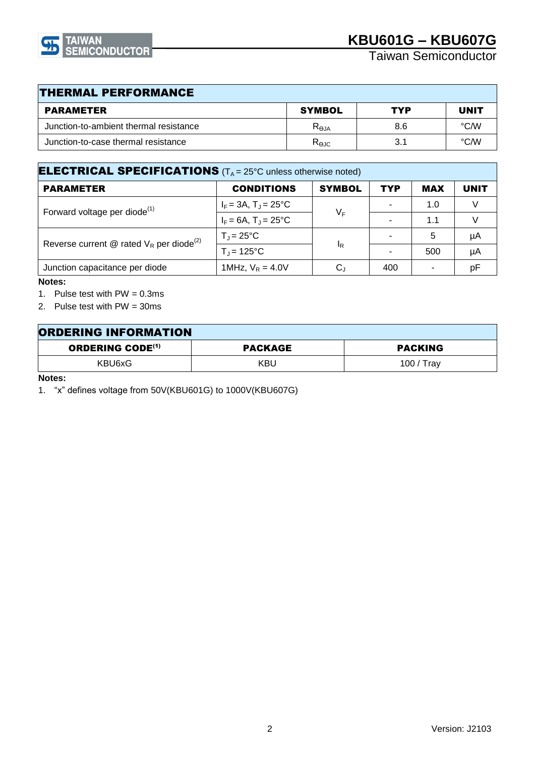

Taiwan Semiconductor

| <b>THERMAL PERFORMANCE</b>             |                   |     |                   |  |
|----------------------------------------|-------------------|-----|-------------------|--|
| <b>PARAMETER</b>                       | <b>SYMBOL</b>     | TYP | <b>UNIT</b>       |  |
| Junction-to-ambient thermal resistance | R <sub>0.1A</sub> | 8.6 | $\rm ^{\circ}$ CM |  |
| Junction-to-case thermal resistance    | $R_{\Theta$ JC    | 3.1 | °CM               |  |

| <b>ELECTRICAL SPECIFICATIONS</b> ( $T_A = 25^\circ$ C unless otherwise noted) |                                  |               |            |            |             |
|-------------------------------------------------------------------------------|----------------------------------|---------------|------------|------------|-------------|
| <b>PARAMETER</b>                                                              | <b>CONDITIONS</b>                | <b>SYMBOL</b> | <b>TYP</b> | <b>MAX</b> | <b>UNIT</b> |
| Forward voltage per diode <sup>(1)</sup>                                      | $I_F = 3A$ , $T_J = 25^{\circ}C$ | $V_F$         |            | 1.0        |             |
|                                                                               | $I_F = 6A$ , $T_J = 25^{\circ}C$ |               |            | 1.1        |             |
| Reverse current @ rated $V_R$ per diode <sup>(2)</sup>                        | $T_J = 25^{\circ}C$              |               |            | 5          | μA          |
|                                                                               | $T_{\rm J}$ = 125°C              | $I_R$         |            | 500        | μA          |
| Junction capacitance per diode                                                | 1MHz, $V_R = 4.0V$               | $\rm C_J$     | 400        |            | рF          |

#### **Notes:**

1. Pulse test with  $PW = 0.3ms$ 

2. Pulse test with PW = 30ms

| <b>ORDERING INFORMATION</b>        |         |                |
|------------------------------------|---------|----------------|
| <b>ORDERING CODE<sup>(1)</sup></b> | PACKAGE | <b>PACKING</b> |
| KBU6xG                             | KBU     | 100 / Trav     |

**Notes:**

1. "x" defines voltage from 50V(KBU601G) to 1000V(KBU607G)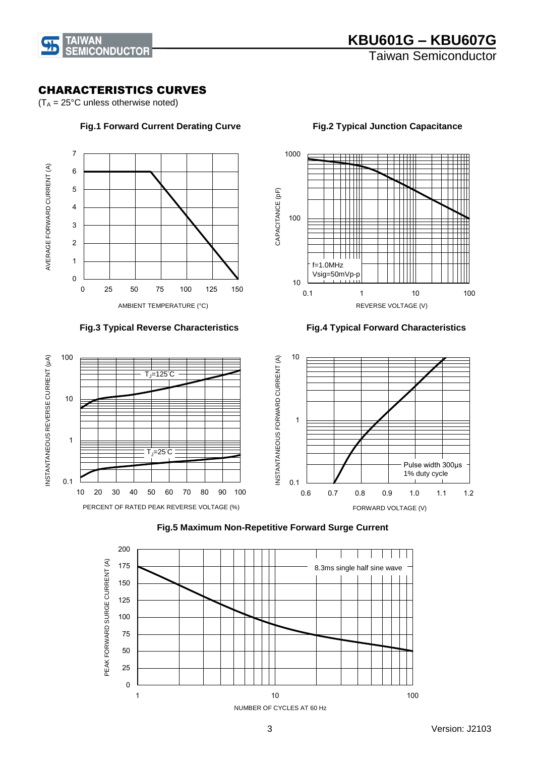

INSTANTANEOUS REVERSE CURRENT (μA)

INSTANTANEOUS REVERSE CURRENT (µA)

### CHARACTERISTICS CURVES

 $(T_A = 25^{\circ}C$  unless otherwise noted)





#### **Fig.1 Forward Current Derating Curve Fig.2 Typical Junction Capacitance**

 **Fig.3 Typical Reverse Characteristics Fig.4 Typical Forward Characteristics**





#### **Fig.5 Maximum Non-Repetitive Forward Surge Current**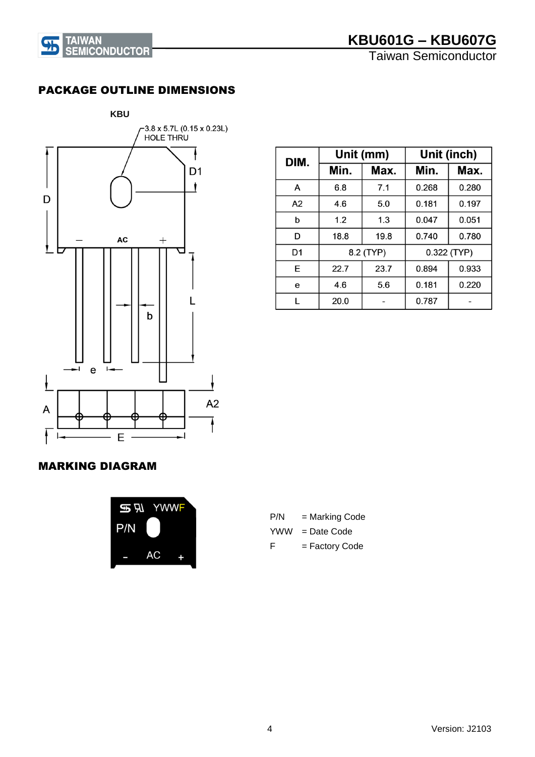

Taiwan Semiconductor

### PACKAGE OUTLINE DIMENSIONS



| DIM.           | Unit (mm) |      |       | Unit (inch) |
|----------------|-----------|------|-------|-------------|
|                | Min.      | Max. | Min.  | Max.        |
| A              | 6.8       | 7.1  | 0.268 | 0.280       |
| A <sub>2</sub> | 4.6       | 5.0  | 0.181 | 0.197       |
| b              | 1.2       | 1.3  | 0.047 | 0.051       |
| D              | 18.8      | 19.8 | 0.740 | 0.780       |
| D <sub>1</sub> | 8.2 (TYP) |      |       | 0.322 (TYP) |
| E              | 22.7      | 23.7 | 0.894 | 0.933       |
| е              | 4.6       | 5.6  | 0.181 | 0.220       |
|                | 20.0      |      | 0.787 |             |

#### MARKING DIAGRAM



| P/N | = Marking Code |
|-----|----------------|
| YWW | $=$ Date Code  |

F = Factory Code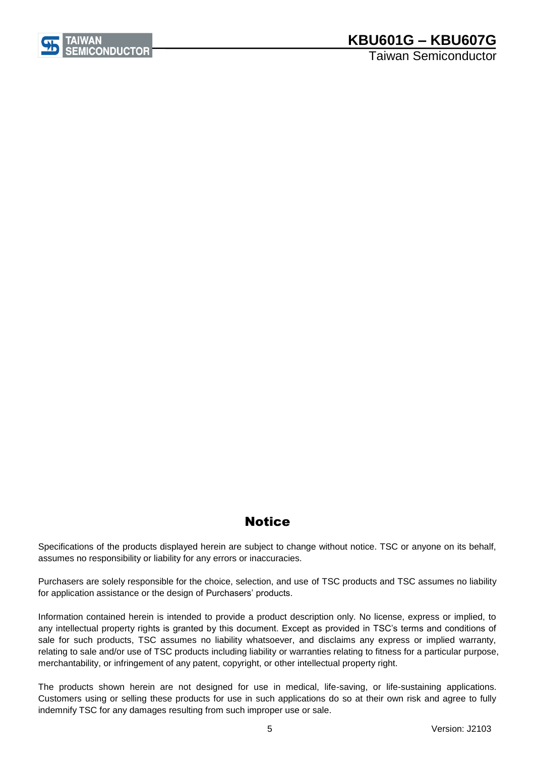

Taiwan Semiconductor

## **Notice**

Specifications of the products displayed herein are subject to change without notice. TSC or anyone on its behalf, assumes no responsibility or liability for any errors or inaccuracies.

Purchasers are solely responsible for the choice, selection, and use of TSC products and TSC assumes no liability for application assistance or the design of Purchasers' products.

Information contained herein is intended to provide a product description only. No license, express or implied, to any intellectual property rights is granted by this document. Except as provided in TSC's terms and conditions of sale for such products, TSC assumes no liability whatsoever, and disclaims any express or implied warranty, relating to sale and/or use of TSC products including liability or warranties relating to fitness for a particular purpose, merchantability, or infringement of any patent, copyright, or other intellectual property right.

The products shown herein are not designed for use in medical, life-saving, or life-sustaining applications. Customers using or selling these products for use in such applications do so at their own risk and agree to fully indemnify TSC for any damages resulting from such improper use or sale.